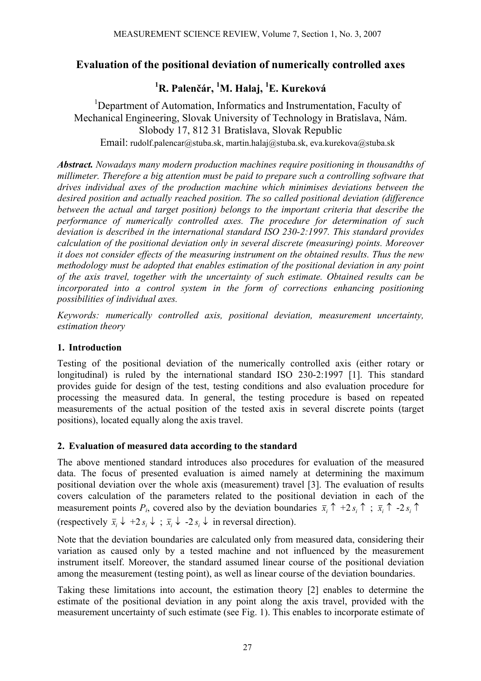## **Evaluation of the positional deviation of numerically controlled axes**

# **1 R. Palenčár, 1 M. Halaj, <sup>1</sup> E. Kureková**

<sup>1</sup>Department of Automation, Informatics and Instrumentation, Faculty of Mechanical Engineering, Slovak University of Technology in Bratislava, Nám. Slobody 17, 812 31 Bratislava, Slovak Republic Email: rudolf.palencar@stuba.sk, martin.halaj@stuba.sk, eva.kurekova@stuba.sk

*Abstract. Nowadays many modern production machines require positioning in thousandths of millimeter. Therefore a big attention must be paid to prepare such a controlling software that drives individual axes of the production machine which minimises deviations between the desired position and actually reached position. The so called positional deviation (difference between the actual and target position) belongs to the important criteria that describe the performance of numerically controlled axes. The procedure for determination of such deviation is described in the international standard ISO 230-2:1997. This standard provides calculation of the positional deviation only in several discrete (measuring) points. Moreover it does not consider effects of the measuring instrument on the obtained results. Thus the new methodology must be adopted that enables estimation of the positional deviation in any point of the axis travel, together with the uncertainty of such estimate. Obtained results can be incorporated into a control system in the form of corrections enhancing positioning possibilities of individual axes.* 

*Keywords: numerically controlled axis, positional deviation, measurement uncertainty, estimation theory* 

## **1. Introduction**

Testing of the positional deviation of the numerically controlled axis (either rotary or longitudinal) is ruled by the international standard ISO 230-2:1997 [1]. This standard provides guide for design of the test, testing conditions and also evaluation procedure for processing the measured data. In general, the testing procedure is based on repeated measurements of the actual position of the tested axis in several discrete points (target positions), located equally along the axis travel.

## **2. Evaluation of measured data according to the standard**

The above mentioned standard introduces also procedures for evaluation of the measured data. The focus of presented evaluation is aimed namely at determining the maximum positional deviation over the whole axis (measurement) travel [3]. The evaluation of results covers calculation of the parameters related to the positional deviation in each of the measurement points  $P_i$ , covered also by the deviation boundaries  $\bar{x}_i \uparrow +2 s_i \uparrow$ ;  $\bar{x}_i \uparrow -2 s_i \uparrow$ (respectively  $\bar{x}_i \downarrow +2 s_i \downarrow \bar{x}_i \downarrow -2 s_i \downarrow$  in reversal direction).

Note that the deviation boundaries are calculated only from measured data, considering their variation as caused only by a tested machine and not influenced by the measurement instrument itself. Moreover, the standard assumed linear course of the positional deviation among the measurement (testing point), as well as linear course of the deviation boundaries.

Taking these limitations into account, the estimation theory [2] enables to determine the estimate of the positional deviation in any point along the axis travel, provided with the measurement uncertainty of such estimate (see Fig. 1). This enables to incorporate estimate of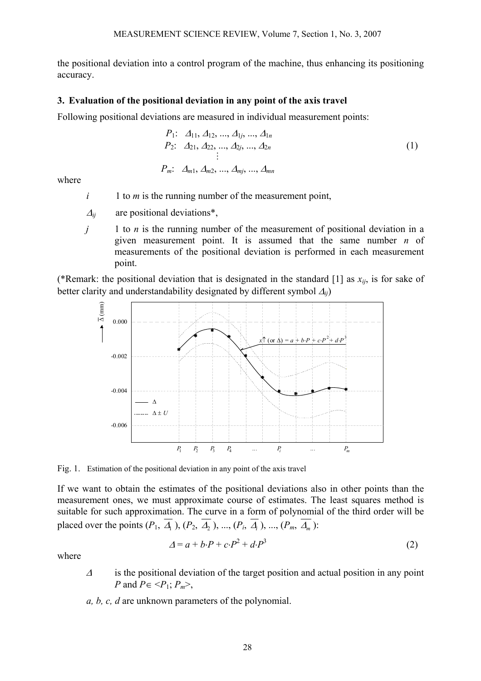the positional deviation into a control program of the machine, thus enhancing its positioning accuracy.

### **3. Evaluation of the positional deviation in any point of the axis travel**

Following positional deviations are measured in individual measurement points:

$$
P_1: A_{11}, A_{12}, ..., A_{1j}, ..., A_{1n}
$$
  
\n
$$
P_2: A_{21}, A_{22}, ..., A_{2j}, ..., A_{2n}
$$
  
\n
$$
\vdots
$$
  
\n
$$
P_m: A_{m1}, A_{m2}, ..., A_{mj}, ..., A_{mn}
$$
  
\n(1)

where

- $i \t 1$  to *m* is the running number of the measurement point,
- $\Delta_{ii}$  are positional deviations<sup>\*</sup>,
- *j* 1 to *n* is the running number of the measurement of positional deviation in a given measurement point. It is assumed that the same number *n* of measurements of the positional deviation is performed in each measurement point.

(\*Remark: the positional deviation that is designated in the standard [1] as  $x_{ii}$ , is for sake of better clarity and understandability designated by different symbol <sup>∆</sup>*ij*)



Fig. 1. Estimation of the positional deviation in any point of the axis travel

If we want to obtain the estimates of the positional deviations also in other points than the measurement ones, we must approximate course of estimates. The least squares method is suitable for such approximation. The curve in a form of polynomial of the third order will be placed over the points  $(P_1, \overline{A_1})$ ,  $(P_2, \overline{A_2})$ , ...,  $(P_i, \overline{A_i})$ , ...,  $(P_m, \overline{A_m})$ :

$$
\Delta = a + b \cdot P + c \cdot P^2 + d \cdot P^3 \tag{2}
$$

where

- <sup>∆</sup> is the positional deviation of the target position and actual position in any point *P* and  $P \in \langle P_1; P_m \rangle$ ,
- *a, b, c, d* are unknown parameters of the polynomial.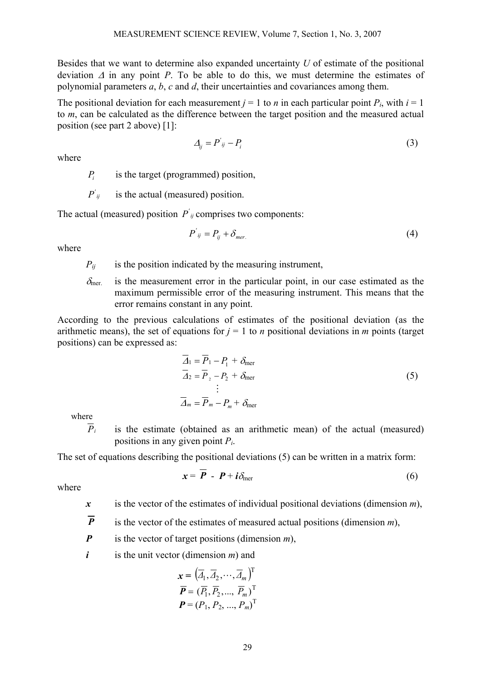Besides that we want to determine also expanded uncertainty *U* of estimate of the positional deviation ∆ in any point *P*. To be able to do this, we must determine the estimates of polynomial parameters *a*, *b*, *c* and *d*, their uncertainties and covariances among them.

The positional deviation for each measurement  $j = 1$  to *n* in each particular point  $P_i$ , with  $i = 1$ to *m*, can be calculated as the difference between the target position and the measured actual position (see part 2 above) [1]:

$$
\Delta_{ij} = P^{'}_{ij} - P_i \tag{3}
$$

where

*P<sub>i</sub>* is the target (programmed) position,

*ij 'is the actual (measured) position.* 

The actual (measured) position  $P'_{ij}$  comprises two components:

$$
P'_{ij} = P_{ij} + \delta_{mer.} \tag{4}
$$

where

 $P_{ii}$  is the position indicated by the measuring instrument,

 $\delta_{\text{mer}}$  is the measurement error in the particular point, in our case estimated as the maximum permissible error of the measuring instrument. This means that the error remains constant in any point.

According to the previous calculations of estimates of the positional deviation (as the arithmetic means), the set of equations for  $j = 1$  to *n* positional deviations in *m* points (target positions) can be expressed as:

$$
\overline{\Delta}_1 = \overline{P}_1 - P_1 + \delta_{\text{mer}}
$$
\n
$$
\overline{\Delta}_2 = \overline{P}_2 - P_2 + \delta_{\text{mer}}
$$
\n
$$
\vdots
$$
\n
$$
\overline{\Delta}_m = \overline{P}_m - P_m + \delta_{\text{mer}}
$$
\n(5)

where

 $\overline{P}_i$  is the estimate (obtained as an arithmetic mean) of the actual (measured) positions in any given point *Pi*.

The set of equations describing the positional deviations (5) can be written in a matrix form:

$$
x = \overline{P} - P + i\delta_{\text{mer}} \tag{6}
$$

where

*x* is the vector of the estimates of individual positional deviations (dimension *m*),

 $\overline{P}$  is the vector of the estimates of measured actual positions (dimension *m*),

*P* is the vector of target positions (dimension *m*),

*i* is the unit vector (dimension *m*) and

$$
\mathbf{x} = (\overline{A}_1, \overline{A}_2, \cdots, \overline{A}_m)^T
$$

$$
\overline{P} = (\overline{P}_1, \overline{P}_2, \dots, \overline{P}_m)^T
$$

$$
P = (P_1, P_2, \dots, P_m)^T
$$